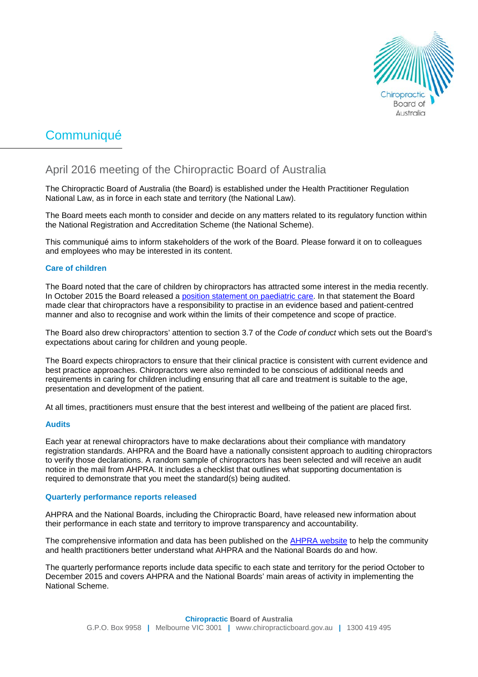

# Communiqué

# April 2016 meeting of the Chiropractic Board of Australia

The Chiropractic Board of Australia (the Board) is established under the Health Practitioner Regulation National Law, as in force in each state and territory (the National Law).

The Board meets each month to consider and decide on any matters related to its regulatory function within the National Registration and Accreditation Scheme (the National Scheme).

This communiqué aims to inform stakeholders of the work of the Board. Please forward it on to colleagues and employees who may be interested in its content.

## **Care of children**

The Board noted that the care of children by chiropractors has attracted some interest in the media recently. In October 2015 the Board released a [position statement on paediatric care.](http://www.chiropracticboard.gov.au/Codes-guidelines/FAQ/Position-statements/Paediatric-care.aspx) In that statement the Board made clear that chiropractors have a responsibility to practise in an evidence based and patient-centred manner and also to recognise and work within the limits of their competence and scope of practice.

The Board also drew chiropractors' attention to section 3.7 of the *Code of condu*c*t* which sets out the Board's expectations about caring for children and young people.

The Board expects chiropractors to ensure that their clinical practice is consistent with current evidence and best practice approaches. Chiropractors were also reminded to be conscious of additional needs and requirements in caring for children including ensuring that all care and treatment is suitable to the age, presentation and development of the patient.

At all times, practitioners must ensure that the best interest and wellbeing of the patient are placed first.

#### **Audits**

Each year at renewal chiropractors have to make declarations about their compliance with mandatory registration standards. AHPRA and the Board have a nationally consistent approach to auditing chiropractors to verify those declarations. A random sample of chiropractors has been selected and will receive an audit notice in the mail from AHPRA. It includes a checklist that outlines what supporting documentation is required to demonstrate that you meet the standard(s) being audited.

#### **Quarterly performance reports released**

AHPRA and the National Boards, including the Chiropractic Board, have released new information about their performance in each state and territory to improve transparency and accountability.

The comprehensive information and data has been published on the **AHPRA website** to help the community and health practitioners better understand what AHPRA and the National Boards do and how.

The quarterly performance reports include data specific to each state and territory for the period October to December 2015 and covers AHPRA and the National Boards' main areas of activity in implementing the National Scheme.